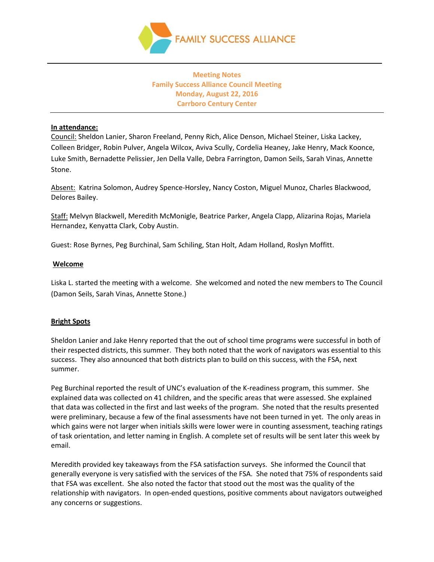

# **Meeting Notes Family Success Alliance Council Meeting Monday, August 22, 2016 Carrboro Century Center**

#### **In attendance:**

Council: Sheldon Lanier, Sharon Freeland, Penny Rich, Alice Denson, Michael Steiner, Liska Lackey, Colleen Bridger, Robin Pulver, Angela Wilcox, Aviva Scully, Cordelia Heaney, Jake Henry, Mack Koonce, Luke Smith, Bernadette Pelissier, Jen Della Valle, Debra Farrington, Damon Seils, Sarah Vinas, Annette Stone.

Absent: Katrina Solomon, Audrey Spence-Horsley, Nancy Coston, Miguel Munoz, Charles Blackwood, Delores Bailey.

Staff: Melvyn Blackwell, Meredith McMonigle, Beatrice Parker, Angela Clapp, Alizarina Rojas, Mariela Hernandez, Kenyatta Clark, Coby Austin.

Guest: Rose Byrnes, Peg Burchinal, Sam Schiling, Stan Holt, Adam Holland, Roslyn Moffitt.

#### **Welcome**

Liska L. started the meeting with a welcome. She welcomed and noted the new members to The Council (Damon Seils, Sarah Vinas, Annette Stone.)

## **Bright Spots**

Sheldon Lanier and Jake Henry reported that the out of school time programs were successful in both of their respected districts, this summer. They both noted that the work of navigators was essential to this success. They also announced that both districts plan to build on this success, with the FSA, next summer.

Peg Burchinal reported the result of UNC's evaluation of the K-readiness program, this summer. She explained data was collected on 41 children, and the specific areas that were assessed. She explained that data was collected in the first and last weeks of the program. She noted that the results presented were preliminary, because a few of the final assessments have not been turned in yet. The only areas in which gains were not larger when initials skills were lower were in counting assessment, teaching ratings of task orientation, and letter naming in English. A complete set of results will be sent later this week by email.

Meredith provided key takeaways from the FSA satisfaction surveys. She informed the Council that generally everyone is very satisfied with the services of the FSA. She noted that 75% of respondents said that FSA was excellent. She also noted the factor that stood out the most was the quality of the relationship with navigators. In open-ended questions, positive comments about navigators outweighed any concerns or suggestions.